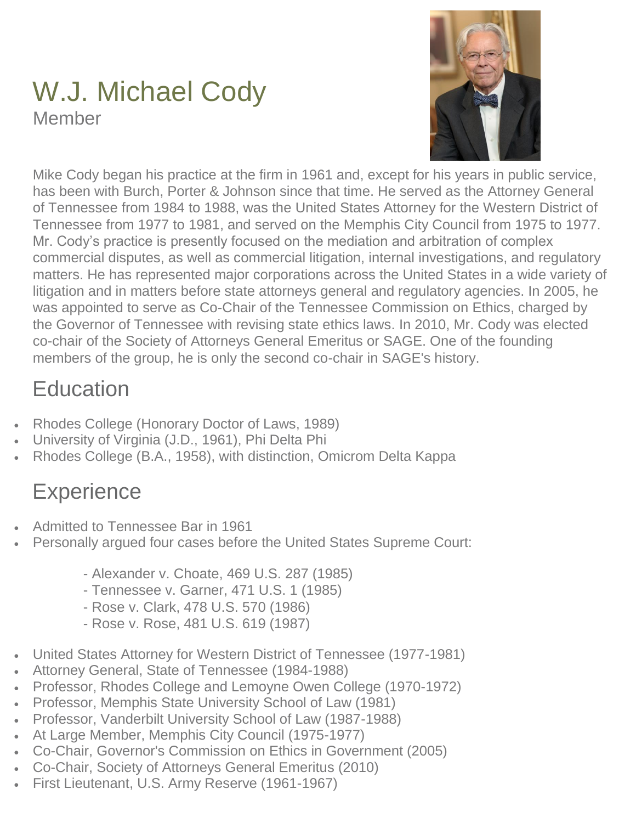## W.J. Michael Cody Member



Mike Cody began his practice at the firm in 1961 and, except for his years in public service, has been with Burch, Porter & Johnson since that time. He served as the Attorney General of Tennessee from 1984 to 1988, was the United States Attorney for the Western District of Tennessee from 1977 to 1981, and served on the Memphis City Council from 1975 to 1977. Mr. Cody's practice is presently focused on the mediation and arbitration of complex commercial disputes, as well as commercial litigation, internal investigations, and regulatory matters. He has represented major corporations across the United States in a wide variety of litigation and in matters before state attorneys general and regulatory agencies. In 2005, he was appointed to serve as Co-Chair of the Tennessee Commission on Ethics, charged by the Governor of Tennessee with revising state ethics laws. In 2010, Mr. Cody was elected co-chair of the Society of Attorneys General Emeritus or SAGE. One of the founding members of the group, he is only the second co-chair in SAGE's history.

## **Education**

- Rhodes College (Honorary Doctor of Laws, 1989)
- University of Virginia (J.D., 1961), Phi Delta Phi
- Rhodes College (B.A., 1958), with distinction, Omicrom Delta Kappa

# **Experience**

- Admitted to Tennessee Bar in 1961
- Personally argued four cases before the United States Supreme Court:
	- Alexander v. Choate, 469 U.S. 287 (1985)
	- Tennessee v. Garner, 471 U.S. 1 (1985)
	- Rose v. Clark, 478 U.S. 570 (1986)
	- Rose v. Rose, 481 U.S. 619 (1987)
- United States Attorney for Western District of Tennessee (1977-1981)
- Attorney General, State of Tennessee (1984-1988)
- Professor, Rhodes College and Lemoyne Owen College (1970-1972)
- Professor, Memphis State University School of Law (1981)
- Professor, Vanderbilt University School of Law (1987-1988)
- At Large Member, Memphis City Council (1975-1977)
- Co-Chair, Governor's Commission on Ethics in Government (2005)
- Co-Chair, Society of Attorneys General Emeritus (2010)
- First Lieutenant, U.S. Army Reserve (1961-1967)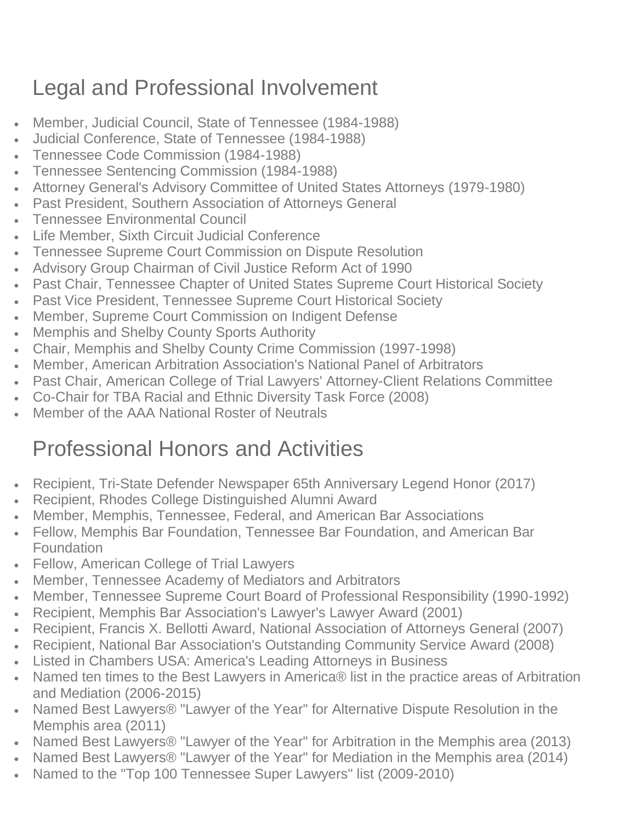### Legal and Professional Involvement

- Member, Judicial Council, State of Tennessee (1984-1988)
- Judicial Conference, State of Tennessee (1984-1988)
- Tennessee Code Commission (1984-1988)
- Tennessee Sentencing Commission (1984-1988)
- Attorney General's Advisory Committee of United States Attorneys (1979-1980)
- Past President, Southern Association of Attorneys General
- Tennessee Environmental Council
- Life Member, Sixth Circuit Judicial Conference
- Tennessee Supreme Court Commission on Dispute Resolution
- Advisory Group Chairman of Civil Justice Reform Act of 1990
- Past Chair, Tennessee Chapter of United States Supreme Court Historical Society
- Past Vice President, Tennessee Supreme Court Historical Society
- Member, Supreme Court Commission on Indigent Defense
- Memphis and Shelby County Sports Authority
- Chair, Memphis and Shelby County Crime Commission (1997-1998)
- Member, American Arbitration Association's National Panel of Arbitrators
- Past Chair, American College of Trial Lawyers' Attorney-Client Relations Committee
- Co-Chair for TBA Racial and Ethnic Diversity Task Force (2008)
- Member of the AAA National Roster of Neutrals

#### Professional Honors and Activities

- Recipient, Tri-State Defender Newspaper 65th Anniversary Legend Honor (2017)
- Recipient, Rhodes College Distinguished Alumni Award
- Member, Memphis, Tennessee, Federal, and American Bar Associations
- Fellow, Memphis Bar Foundation, Tennessee Bar Foundation, and American Bar **Foundation**
- Fellow, American College of Trial Lawyers
- Member, Tennessee Academy of Mediators and Arbitrators
- Member, Tennessee Supreme Court Board of Professional Responsibility (1990-1992)
- Recipient, Memphis Bar Association's Lawyer's Lawyer Award (2001)
- Recipient, Francis X. Bellotti Award, National Association of Attorneys General (2007)
- Recipient, National Bar Association's Outstanding Community Service Award (2008)
- Listed in Chambers USA: America's Leading Attorneys in Business
- Named ten times to the Best Lawyers in America® list in the practice areas of Arbitration and Mediation (2006-2015)
- Named Best Lawyers® "Lawyer of the Year" for Alternative Dispute Resolution in the Memphis area (2011)
- Named Best Lawyers® "Lawyer of the Year" for Arbitration in the Memphis area (2013)
- Named Best Lawyers® "Lawyer of the Year" for Mediation in the Memphis area (2014)
- Named to the "Top 100 Tennessee Super Lawyers" list (2009-2010)